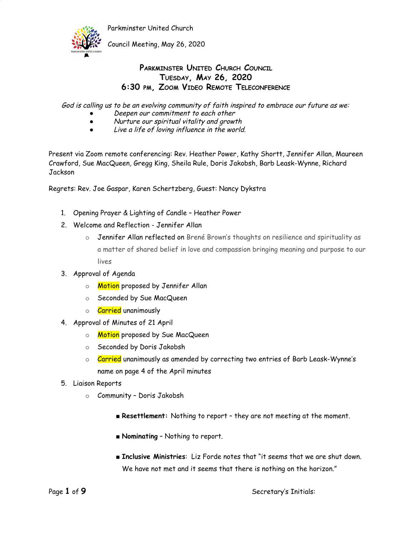

Council Meeting, May 26, 2020

### **PARKMINSTER UNITED CHURCH COUNCIL TUESDAY, MAY 26, 2020 6:30 PM, ZOOM VIDEO REMOTE TELECONFERENCE**

God is calling us to be an evolving community of faith inspired to embrace our future as we:

- Deepen our commitment to each other
- Nurture our spiritual vitality and growth
- Live <sup>a</sup> life of loving influence in the world.

Present via Zoom remote conferencing: Rev. Heather Power, Kathy Shortt, Jennifer Allan, Maureen Crawford, Sue MacQueen, Gregg King, Sheila Rule, Doris Jakobsh, Barb Leask-Wynne, Richard Jackson

Regrets: Rev. Joe Gaspar, Karen Schertzberg, Guest: Nancy Dykstra

- 1. Opening Prayer & Lighting of Candle Heather Power
- 2. Welcome and Reflection Jennifer Allan
	- o Jennifer Allan reflected on Brené Brown's thoughts on resilience and spirituality as a matter of shared belief in love and compassion bringing meaning and purpose to our lives
- 3. Approval of Agenda
	- o **Motion** proposed by Jennifer Allan
	- o Seconded by Sue MacQueen
	- o **Carried** unanimously
- 4. Approval of Minutes of 21 April
	- o Motion proposed by Sue MacQueen
	- o Seconded by Doris Jakobsh
	- o **Carried** unanimously as amended by correcting two entries of Barb Leask-Wynne's name on page 4 of the April minutes
- 5. Liaison Reports
	- o Community Doris Jakobsh
		- **Resettlement:** Nothing to report they are not meeting at the moment.
		- **Nominating** Nothing to report.
		- **Inclusive Ministries**: Liz Forde notes that "it seems that we are shut down. We have not met and it seems that there is nothing on the horizon."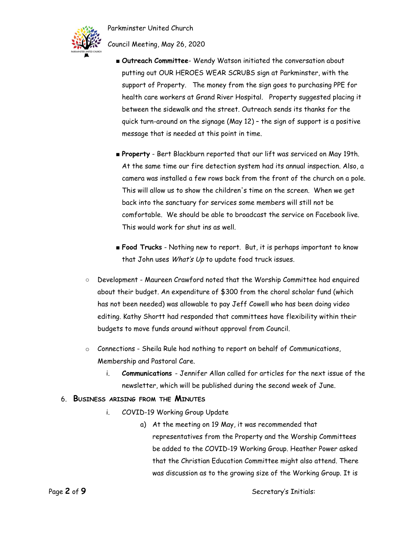

Council Meeting, May 26, 2020

- **Outreach Committee** Wendy Watson initiated the conversation about putting out OUR HEROES WEAR SCRUBS sign at Parkminster, with the support of Property. The money from the sign goes to purchasing PPE for health care workers at Grand River Hospital. Property suggested placing it between the sidewalk and the street. Outreach sends its thanks for the quick turn-around on the signage (May 12) – the sign of support is a positive message that is needed at this point in time.
- **Property** Bert Blackburn reported that our lift was serviced on May 19th. At the same time our fire detection system had its annual inspection. Also, a camera was installed a few rows back from the front of the church on a pole. This will allow us to show the children's time on the screen. When we get back into the sanctuary for services some members will still not be comfortable. We should be able to broadcast the service on Facebook live. This would work for shut ins as well.
- **Food Trucks** Nothing new to report. But, it is perhaps important to know that John uses What's Up to update food truck issues.
- Development Maureen Crawford noted that the Worship Committee had enquired about their budget. An expenditure of \$300 from the choral scholar fund (which has not been needed) was allowable to pay Jeff Cowell who has been doing video editing. Kathy Shortt had responded that committees have flexibility within their budgets to move funds around without approval from Council.
- $\circ$  Connections Sheila Rule had nothing to report on behalf of Communications, Membership and Pastoral Care.
	- i. **Communications** Jennifer Allan called for articles for the next issue of the newsletter, which will be published during the second week of June.

#### 6. **BUSINESS ARISING FROM THE MINUTES**

- i. COVID-19 Working Group Update
	- a) At the meeting on 19 May, it was recommended that representatives from the Property and the Worship Committees be added to the COVID-19 Working Group. Heather Power asked that the Christian Education Committee might also attend. There was discussion as to the growing size of the Working Group. It is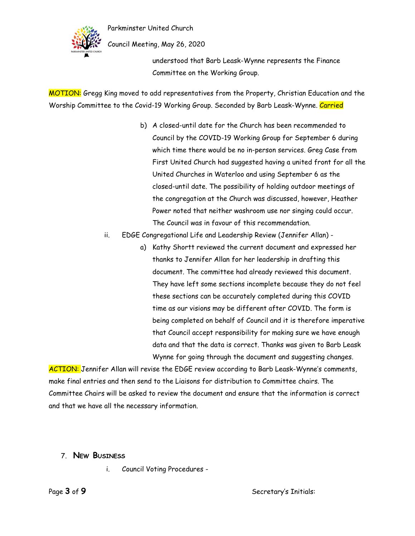



Council Meeting, May 26, 2020

understood that Barb Leask-Wynne represents the Finance Committee on the Working Group.

MOTION: Gregg King moved to add representatives from the Property, Christian Education and the Worship Committee to the Covid-19 Working Group. Seconded by Barb Leask-Wynne. Carried

- b) A closed-until date for the Church has been recommended to Council by the COVID-19 Working Group for September 6 during which time there would be no in-person services. Greg Case from First United Church had suggested having a united front for all the United Churches in Waterloo and using September 6 as the closed-until date. The possibility of holding outdoor meetings of the congregation at the Church was discussed, however, Heather Power noted that neither washroom use nor singing could occur. The Council was in favour of this recommendation.
- ii. EDGE Congregational Life and Leadership Review (Jennifer Allan)
	- a) Kathy Shortt reviewed the current document and expressed her thanks to Jennifer Allan for her leadership in drafting this document. The committee had already reviewed this document. They have left some sections incomplete because they do not feel these sections can be accurately completed during this COVID time as our visions may be different after COVID. The form is being completed on behalf of Council and it is therefore imperative that Council accept responsibility for making sure we have enough data and that the data is correct. Thanks was given to Barb Leask Wynne for going through the document and suggesting changes.

ACTION: Jennifer Allan will revise the EDGE review according to Barb Leask-Wynne's comments, make final entries and then send to the Liaisons for distribution to Committee chairs. The Committee Chairs will be asked to review the document and ensure that the information is correct and that we have all the necessary information.

- 7. **NEW BUSINESS**
	- i. Council Voting Procedures -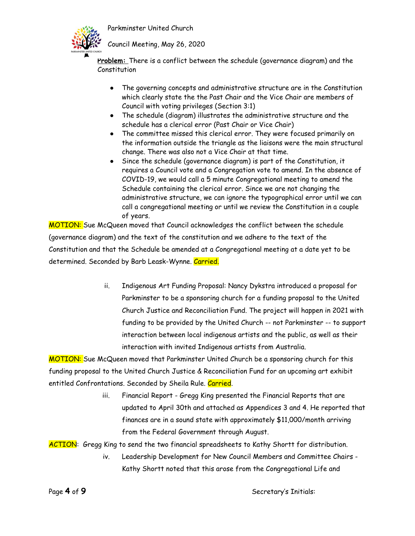



Council Meeting, May 26, 2020

**Problem:** There is a conflict between the schedule (governance diagram) and the Constitution

- The governing concepts and administrative structure are in the Constitution which clearly state the the Past Chair and the Vice Chair are members of Council with voting privileges (Section 3:1)
- The schedule (diagram) illustrates the administrative structure and the schedule has a clerical error (Past Chair or Vice Chair)
- The committee missed this clerical error. They were focused primarily on the information outside the triangle as the liaisons were the main structural change. There was also not a Vice Chair at that time.
- Since the schedule (governance diagram) is part of the Constitution, it requires a Council vote and a Congregation vote to amend. In the absence of COVID-19, we would call a 5 minute Congregational meeting to amend the Schedule containing the clerical error. Since we are not changing the administrative structure, we can ignore the typographical error until we can call a congregational meeting or until we review the Constitution in a couple of years.

MOTION: Sue McQueen moved that Council acknowledges the conflict between the schedule (governance diagram) and the text of the constitution and we adhere to the text of the Constitution and that the Schedule be amended at a Congregational meeting at a date yet to be determined. Seconded by Barb Leask-Wynne. Carried.

> ii. Indigenous Art Funding Proposal: Nancy Dykstra introduced a proposal for Parkminster to be a sponsoring church for a funding proposal to the United Church Justice and Reconciliation Fund. The project will happen in 2021 with funding to be provided by the United Church -- not Parkminster -- to support interaction between local indigenous artists and the public, as well as their interaction with invited Indigenous artists from Australia.

MOTION: Sue McQueen moved that Parkminster United Church be a sponsoring church for this funding proposal to the United Church Justice & Reconciliation Fund for an upcoming art exhibit entitled Confrontations. Seconded by Sheila Rule. Carried.

> iii. Financial Report - Gregg King presented the Financial Reports that are updated to April 30th and attached as Appendices 3 and 4. He reported that finances are in a sound state with approximately \$11,000/month arriving from the Federal Government through August.

ACTION: Gregg King to send the two financial spreadsheets to Kathy Shortt for distribution.

iv. Leadership Development for New Council Members and Committee Chairs - Kathy Shortt noted that this arose from the Congregational Life and

Page 4 of 9 **Secretary's Initials:**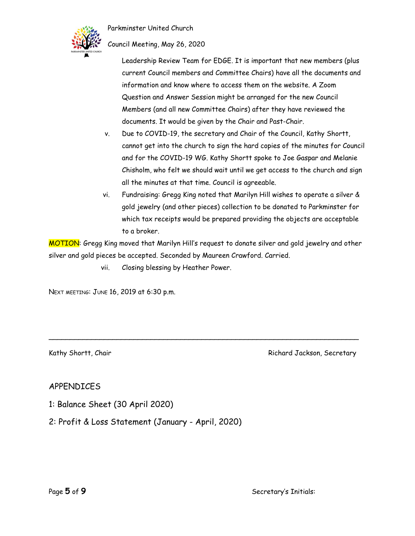

Council Meeting, May 26, 2020

Leadership Review Team for EDGE. It is important that new members (plus current Council members and Committee Chairs) have all the documents and information and know where to access them on the website. A Zoom Question and Answer Session might be arranged for the new Council Members (and all new Committee Chairs) after they have reviewed the documents. It would be given by the Chair and Past-Chair.

- v. Due to COVID-19, the secretary and Chair of the Council, Kathy Shortt, cannot get into the church to sign the hard copies of the minutes for Council and for the COVID-19 WG. Kathy Shortt spoke to Joe Gaspar and Melanie Chisholm, who felt we should wait until we get access to the church and sign all the minutes at that time. Council is agreeable.
- vi. Fundraising: Gregg King noted that Marilyn Hill wishes to operate a silver & gold jewelry (and other pieces) collection to be donated to Parkminster for which tax receipts would be prepared providing the objects are acceptable to a broker.

MOTION: Gregg King moved that Marilyn Hill's request to donate silver and gold jewelry and other silver and gold pieces be accepted. Seconded by Maureen Crawford. Carried.

\_\_\_\_\_\_\_\_\_\_\_\_\_\_\_\_\_\_\_\_\_\_\_\_\_\_\_\_\_\_\_\_\_\_\_\_\_\_\_\_\_\_\_\_\_\_\_\_\_\_\_\_\_\_\_\_\_\_\_\_\_\_\_\_\_\_\_\_\_\_\_\_\_

vii. Closing blessing by Heather Power.

NEXT MEETING: JUNE 16, 2019 at 6:30 p.m.

Kathy Shortt, Chair Richard Jackson, Secretary Richard Jackson, Secretary

### APPENDICES

- 1: Balance Sheet (30 April 2020)
- 2: Profit & Loss Statement (January April, 2020)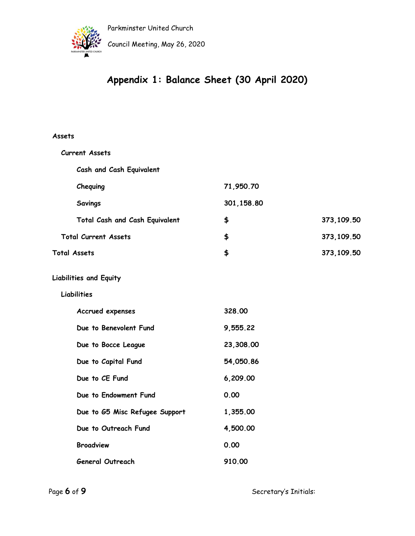

Council Meeting, May 26, 2020

# **Appendix 1: Balance Sheet (30 April 2020)**

#### **Assets**

| <b>Current Assets</b>          |            |            |
|--------------------------------|------------|------------|
| Cash and Cash Equivalent       |            |            |
| Chequing                       | 71,950.70  |            |
| <b>Savings</b>                 | 301,158.80 |            |
| Total Cash and Cash Equivalent | \$         | 373,109.50 |
| <b>Total Current Assets</b>    | \$         | 373,109.50 |
| <b>Total Assets</b>            | \$         | 373,109.50 |
| <b>Liabilities and Equity</b>  |            |            |
| Liabilities                    |            |            |
| Accrued expenses               | 328.00     |            |
| Due to Benevolent Fund         | 9,555.22   |            |
| Due to Bocce League            | 23,308.00  |            |
| Due to Capital Fund            | 54,050.86  |            |
| Due to CE Fund                 | 6,209.00   |            |
| Due to Endowment Fund          | 0.00       |            |
| Due to G5 Misc Refugee Support | 1,355.00   |            |
| Due to Outreach Fund           | 4,500.00   |            |
| <b>Broadview</b>               | 0.00       |            |
| <b>General Outreach</b>        | 910.00     |            |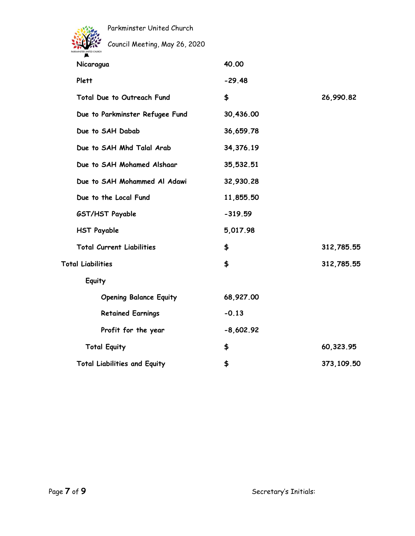

Council Meeting, May 26, 2020

| Nicaragua                           | 40.00       |            |
|-------------------------------------|-------------|------------|
| Plett                               | $-29.48$    |            |
| Total Due to Outreach Fund          | \$          | 26,990.82  |
| Due to Parkminster Refugee Fund     | 30,436.00   |            |
| Due to SAH Dabab                    | 36,659.78   |            |
| Due to SAH Mhd Talal Arab           | 34,376.19   |            |
| Due to SAH Mohamed Alshaar          | 35,532.51   |            |
| Due to SAH Mohammed Al Adawi        | 32,930.28   |            |
| Due to the Local Fund               | 11,855.50   |            |
| GST/HST Payable                     | $-319.59$   |            |
| <b>HST Payable</b>                  | 5,017.98    |            |
| <b>Total Current Liabilities</b>    | \$          | 312,785.55 |
| <b>Total Liabilities</b>            | \$          | 312,785.55 |
| Equity                              |             |            |
| <b>Opening Balance Equity</b>       | 68,927.00   |            |
| <b>Retained Earnings</b>            | $-0.13$     |            |
| Profit for the year                 | $-8,602.92$ |            |
| <b>Total Equity</b>                 | \$          | 60,323.95  |
| <b>Total Liabilities and Equity</b> | \$          | 373,109.50 |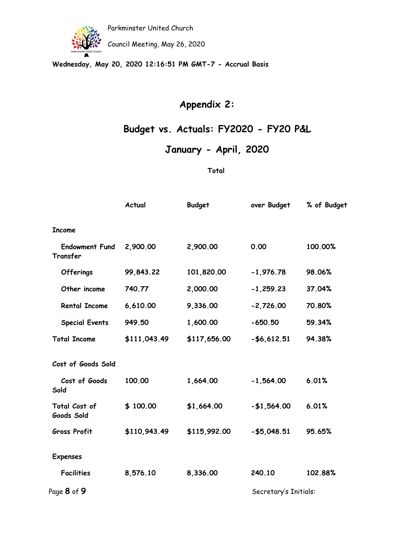

Council Meeting, May 26, 2020

**Wednesday, May 20, 2020 12:16:51 PM GMT-7 - Accrual Basis**

## **Appendix 2:**

## **Budget vs. Actuals: FY2020 - FY20 P&L**

### **January - April, 2020**

#### **Total**

|                                   | Actual       | <b>Budget</b> | over Budget           | % of Budget |
|-----------------------------------|--------------|---------------|-----------------------|-------------|
| <b>Income</b>                     |              |               |                       |             |
| <b>Endowment Fund</b><br>Transfer | 2,900.00     | 2,900.00      | 0.00                  | 100.00%     |
| <b>Offerings</b>                  | 99,843.22    | 101,820.00    | $-1,976.78$           | 98.06%      |
| Other income                      | 740.77       | 2,000.00      | $-1,259.23$           | 37.04%      |
| <b>Rental Income</b>              | 6,610.00     | 9,336.00      | $-2,726.00$           | 70.80%      |
| <b>Special Events</b>             | 949.50       | 1,600.00      | $-650.50$             | 59.34%      |
| <b>Total Income</b>               | \$111,043.49 | \$117,656.00  | $- $6,612.51$         | 94.38%      |
| Cost of Goods Sold                |              |               |                       |             |
| Cost of Goods<br>Sold             | 100.00       | 1,664.00      | $-1,564.00$           | 6.01%       |
| Total Cost of<br>Goods Sold       | \$100.00     | \$1,664.00    | $- $1,564.00$         | 6.01%       |
| <b>Gross Profit</b>               | \$110,943.49 | \$115,992.00  | $- $5,048.51$         | 95.65%      |
| <b>Expenses</b>                   |              |               |                       |             |
| <b>Facilities</b>                 | 8,576.10     | 8,336.00      | 240.10                | 102.88%     |
| Page <b>8</b> of <b>9</b>         |              |               | Secretary's Initials: |             |